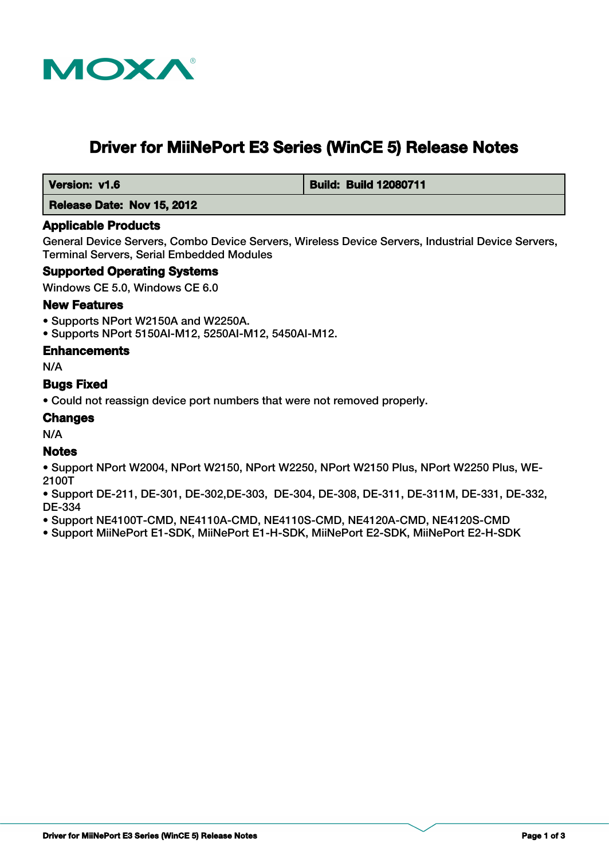

# **Driver for MiiNePort E3 Series (WinCE 5) Release Notes**

 **Version: v1.6 Build: Build: Build 12080711** 

#### **Release Date: Nov 15, 2012**

#### **Applicable Products**

General Device Servers, Combo Device Servers, Wireless Device Servers, Industrial Device Servers, Terminal Servers, Serial Embedded Modules

#### **Supported Operating Systems**

Windows CE 5.0, Windows CE 6.0

#### **New Features**

- Supports NPort W2150A and W2250A.
- Supports NPort 5150AI-M12, 5250AI-M12, 5450AI-M12.

#### **Enhancements**

N/A

#### **Bugs Fixed**

• Could not reassign device port numbers that were not removed properly.

#### **Changes**

N/A

#### **Notes**

- Support NPort W2004, NPort W2150, NPort W2250, NPort W2150 Plus, NPort W2250 Plus, WE-2100T
- Support DE-211, DE-301, DE-302,DE-303, DE-304, DE-308, DE-311, DE-311M, DE-331, DE-332, DE-334
- Support NE4100T-CMD, NE4110A-CMD, NE4110S-CMD, NE4120A-CMD, NE4120S-CMD
- Support MiiNePort E1-SDK, MiiNePort E1-H-SDK, MiiNePort E2-SDK, MiiNePort E2-H-SDK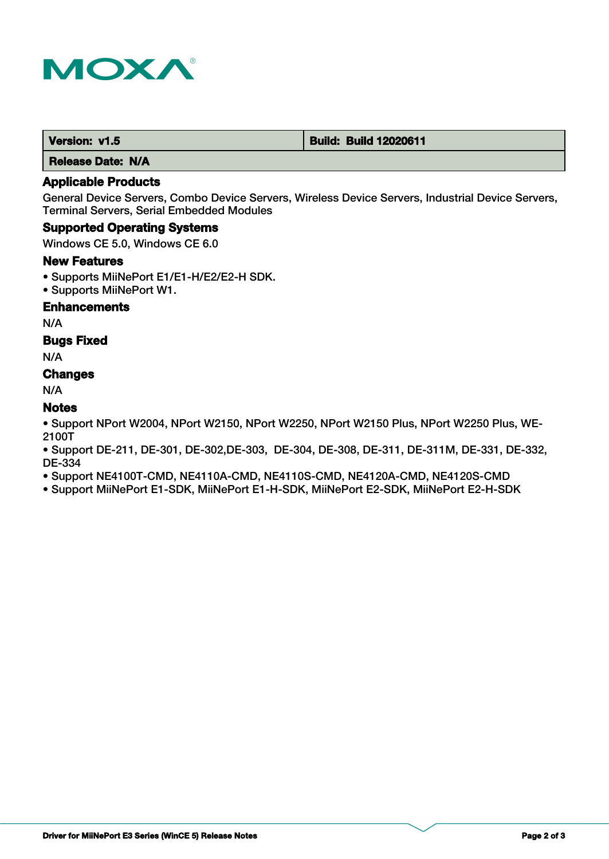

 **Release Date: N/A**

## **Applicable Products**

General Device Servers, Combo Device Servers, Wireless Device Servers, Industrial Device Servers, Terminal Servers, Serial Embedded Modules

#### **Supported Operating Systems**

Windows CE 5.0, Windows CE 6.0

#### **New Features**

- Supports MiiNePort E1/E1-H/E2/E2-H SDK.
- Supports MiiNePort W1.

#### **Enhancements**

N/A

#### **Bugs Fixed**

N/A

# **Changes**

N/A

## **Notes**

• Support NPort W2004, NPort W2150, NPort W2250, NPort W2150 Plus, NPort W2250 Plus, WE-2100T

• Support DE-211, DE-301, DE-302,DE-303, DE-304, DE-308, DE-311, DE-311M, DE-331, DE-332, DE-334

• Support NE4100T-CMD, NE4110A-CMD, NE4110S-CMD, NE4120A-CMD, NE4120S-CMD

• Support MiiNePort E1-SDK, MiiNePort E1-H-SDK, MiiNePort E2-SDK, MiiNePort E2-H-SDK